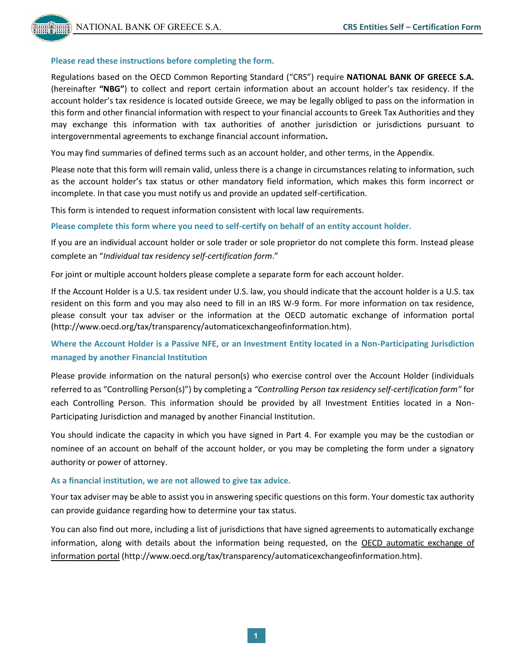#### **Please read these instructions before completing the form.**

Regulations based on the OECD Common Reporting Standard ("CRS") require **NATIONAL BANK OF GREECE S.A.**  (hereinafter **"NBG"**) to collect and report certain information about an account holder's tax residency. If the account holder's tax residence is located outside Greece, we may be legally obliged to pass on the information in this form and other financial information with respect to your financial accounts to Greek Tax Authorities and they may exchange this information with tax authorities of another jurisdiction or jurisdictions pursuant to intergovernmental agreements to exchange financial account information*.*

You may find summaries of defined terms such as an account holder, and other terms, in the Appendix.

Please note that this form will remain valid, unless there is a change in circumstances relating to information, such as the account holder's tax status or other mandatory field information, which makes this form incorrect or incomplete. In that case you must notify us and provide an updated self-certification.

This form is intended to request information consistent with local law requirements.

**Please complete this form where you need to self-certify on behalf of an entity account holder.**

If you are an individual account holder or sole trader or sole proprietor do not complete this form. Instead please complete an "*Individual tax residency self-certification form*."

For joint or multiple account holders please complete a separate form for each account holder.

If the Account Holder is a U.S. tax resident under U.S. law, you should indicate that the account holder is a U.S. tax resident on this form and you may also need to fill in an IRS W-9 form. For more information on tax residence, please consult your tax adviser or the information at the [OECD automatic exchange of information portal](file:///C:/Users/E35138/AppData/Local/Microsoft/Windows/INetCache/Content.Outlook/3NIPRO5N/OECD%20automatic%20exchange%20of%20information%20portal%20(http:/www.oecd.org/tax/transparency/automaticexchangeofinformation.htm))  [\(http://www.oecd.org/tax/transparency/automaticexchangeofinformation.htm\).](file:///C:/Users/E35138/AppData/Local/Microsoft/Windows/INetCache/Content.Outlook/3NIPRO5N/OECD%20automatic%20exchange%20of%20information%20portal%20(http:/www.oecd.org/tax/transparency/automaticexchangeofinformation.htm))

**Where the Account Holder is a Passive NFE, or an Investment Entity located in a Non-Participating Jurisdiction managed by another Financial Institution**

Please provide information on the natural person(s) who exercise control over the Account Holder (individuals referred to as "Controlling Person(s)") by completing a *"Controlling Person tax residency self-certification form"* for each Controlling Person. This information should be provided by all Investment Entities located in a Non-Participating Jurisdiction and managed by another Financial Institution.

You should indicate the capacity in which you have signed in Part 4. For example you may be the custodian or nominee of an account on behalf of the account holder, or you may be completing the form under a signatory authority or power of attorney.

#### **As a financial institution, we are not allowed to give tax advice.**

Your tax adviser may be able to assist you in answering specific questions on this form. Your domestic tax authority can provide guidance regarding how to determine your tax status.

You can also find out more, including a list of jurisdictions that have signed agreements to automatically exchange information, along with details about the information being requested, on the OECD automatic exchange of [information](http://www.oecd.org/tax/transparency/automaticexchangeofinformation.htm) [portal](http://www.oecd.org/tax/transparency/automaticexchangeofinformation.htm) (http://www.oecd.org/tax/transparency/automaticexchangeofinformation.htm).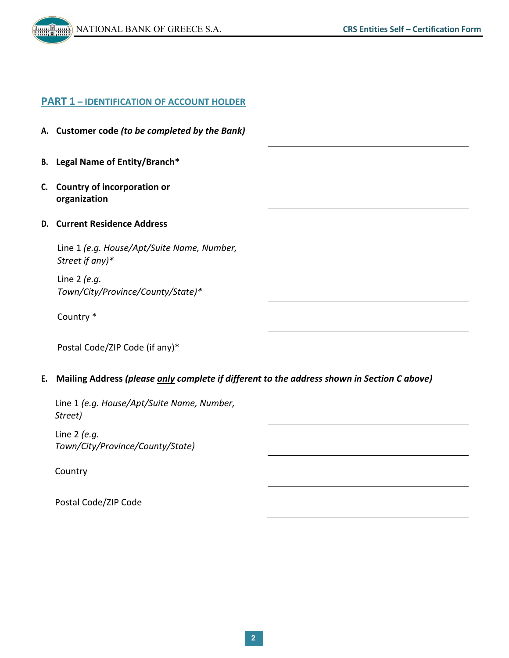## **PART 1 – IDENTIFICATION OF ACCOUNT HOLDER**

- **A. Customer code** *(to be completed by the Bank)*
- **B. Legal Name of Entity/Branch\***
- **C. Country of incorporation or organization**
- **D. Current Residence Address**

 Line 1 *(e.g. House/Apt/Suite Name, Number, Street if any)\**

 Line 2 *(e.g. Town/City/Province/County/State)\**

Country \*

Postal Code/ZIP Code (if any)\*

#### **E. Mailing Address** *(please only complete if different to the address shown in Section C above)*

 Line 1 *(e.g. House/Apt/Suite Name, Number, Street)*

 Line 2 *(e.g. Town/City/Province/County/State)*

**Country** 

Postal Code/ZIP Code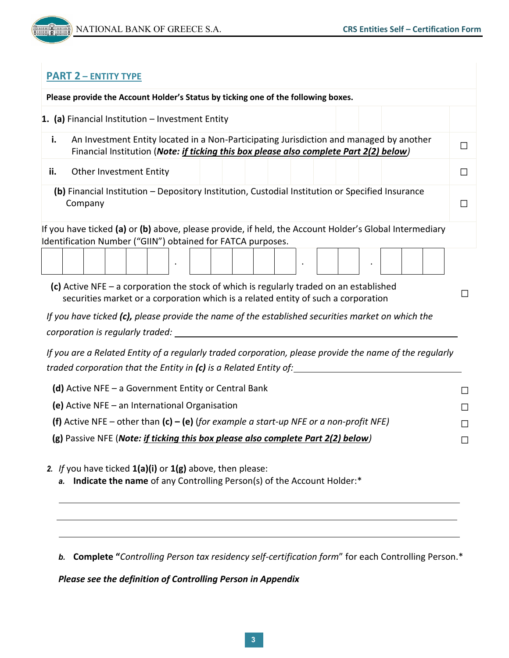

# **PART 2 – ENTITY TYPE**

| Please provide the Account Holder's Status by ticking one of the following boxes.                                                                                                            |              |  |  |
|----------------------------------------------------------------------------------------------------------------------------------------------------------------------------------------------|--------------|--|--|
| 1. (a) Financial Institution $-$ Investment Entity                                                                                                                                           |              |  |  |
| An Investment Entity located in a Non-Participating Jurisdiction and managed by another<br>i.<br>Financial Institution (Note: if ticking this box please also complete Part 2(2) below)      | ΙI           |  |  |
| <b>Other Investment Entity</b><br>ii.                                                                                                                                                        | $\mathsf{L}$ |  |  |
| (b) Financial Institution - Depository Institution, Custodial Institution or Specified Insurance<br>Company                                                                                  | П            |  |  |
| If you have ticked (a) or (b) above, please provide, if held, the Account Holder's Global Intermediary<br>Identification Number ("GIIN") obtained for FATCA purposes.                        |              |  |  |
| $\bullet$                                                                                                                                                                                    |              |  |  |
| (c) Active NFE – a corporation the stock of which is regularly traded on an established<br>securities market or a corporation which is a related entity of such a corporation                |              |  |  |
| If you have ticked (c), please provide the name of the established securities market on which the                                                                                            |              |  |  |
| If you are a Related Entity of a regularly traded corporation, please provide the name of the regularly<br>traded corporation that the Entity in $(c)$ is a Related Entity of: $\sqrt{2\pi}$ |              |  |  |
| (d) Active NFE $-$ a Government Entity or Central Bank                                                                                                                                       |              |  |  |
| (e) Active NFE $-$ an International Organisation                                                                                                                                             |              |  |  |
| (f) Active NFE – other than $(c)$ – (e) (for example a start-up NFE or a non-profit NFE)                                                                                                     |              |  |  |
| (g) Passive NFE (Note: if ticking this box please also complete Part 2(2) below)                                                                                                             |              |  |  |

*2. If* you have ticked **1(a)(i)** or **1(g)** above, then please:

*a.* **Indicate the name** of any Controlling Person(s) of the Account Holder:\*

*b.* **Complete "***Controlling Person tax residency self-certification form*" for each Controlling Person.\*

*Please see the definition of Controlling Person in Appendix*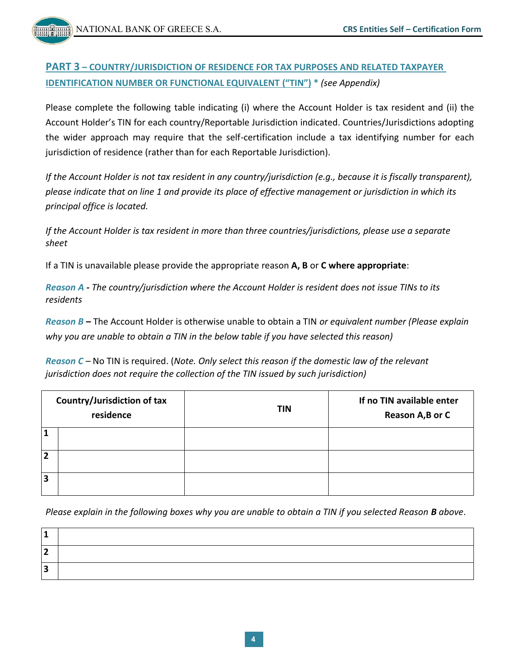# **PART 3 – COUNTRY/JURISDICTION OF RESIDENCE FOR TAX PURPOSES AND RELATED TAXPAYER IDENTIFICATION NUMBER OR FUNCTIONAL EQUIVALENT ("TIN") \*** *(see Appendix)*

Please complete the following table indicating (i) where the Account Holder is tax resident and (ii) the Account Holder's TIN for each country/Reportable Jurisdiction indicated. Countries/Jurisdictions adopting the wider approach may require that the self-certification include a tax identifying number for each jurisdiction of residence (rather than for each Reportable Jurisdiction).

*If the Account Holder is not tax resident in any country/jurisdiction (e.g., because it is fiscally transparent), please indicate that on line 1 and provide its place of effective management or jurisdiction in which its principal office is located.*

*If the Account Holder is tax resident in more than three countries/jurisdictions, please use a separate sheet*

If a TIN is unavailable please provide the appropriate reason **A, B** or **C where appropriate**:

*Reason A - The country/jurisdiction where the Account Holder is resident does not issue TINs to its residents*

*Reason B –* The Account Holder is otherwise unable to obtain a TIN *or equivalent number (Please explain why you are unable to obtain a TIN in the below table if you have selected this reason)*

*Reason C –* No TIN is required. (*Note. Only select this reason if the domestic law of the relevant jurisdiction does not require the collection of the TIN issued by such jurisdiction)*

|                         | Country/Jurisdiction of tax<br>residence | <b>TIN</b> | If no TIN available enter<br>Reason A,B or C |
|-------------------------|------------------------------------------|------------|----------------------------------------------|
|                         |                                          |            |                                              |
| $\overline{2}$          |                                          |            |                                              |
| $\overline{\mathbf{3}}$ |                                          |            |                                              |

*Please explain in the following boxes why you are unable to obtain a TIN if you selected Reason B above*.

| ∽ |  |
|---|--|
| э |  |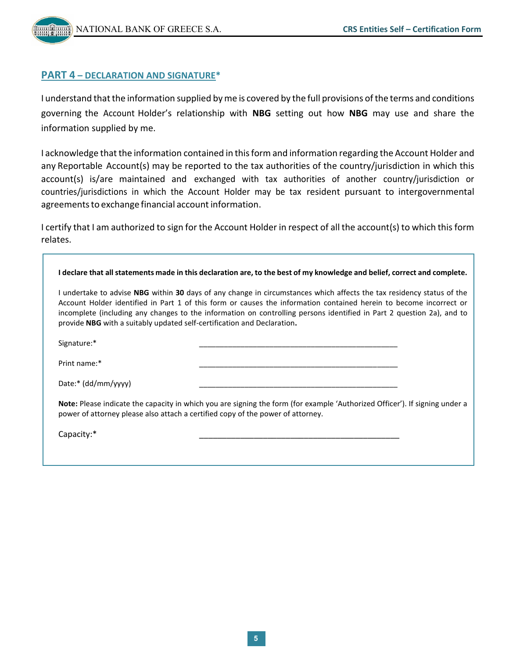#### **PART 4 – DECLARATION AND SIGNATURE\***

I understand that the information supplied by me is covered by the full provisions of the terms and conditions governing the Account Holder's relationship with **NBG** setting out how **NBG** may use and share the information supplied by me.

I acknowledge that the information contained in this form and information regarding the Account Holder and any Reportable Account(s) may be reported to the tax authorities of the country/jurisdiction in which this account(s) is/are maintained and exchanged with tax authorities of another country/jurisdiction or countries/jurisdictions in which the Account Holder may be tax resident pursuant to intergovernmental agreements to exchange financial account information.

I certify that I am authorized to sign for the Account Holder in respect of all the account(s) to which this form relates.

| I declare that all statements made in this declaration are, to the best of my knowledge and belief, correct and complete.                                                                                                                                                                                                                                                                                                                       |  |  |
|-------------------------------------------------------------------------------------------------------------------------------------------------------------------------------------------------------------------------------------------------------------------------------------------------------------------------------------------------------------------------------------------------------------------------------------------------|--|--|
| I undertake to advise NBG within 30 days of any change in circumstances which affects the tax residency status of the<br>Account Holder identified in Part 1 of this form or causes the information contained herein to become incorrect or<br>incomplete (including any changes to the information on controlling persons identified in Part 2 question 2a), and to<br>provide NBG with a suitably updated self-certification and Declaration. |  |  |
| Signature:*                                                                                                                                                                                                                                                                                                                                                                                                                                     |  |  |
| Print name:*                                                                                                                                                                                                                                                                                                                                                                                                                                    |  |  |
| $Date: * (dd/mm/vyyy)$                                                                                                                                                                                                                                                                                                                                                                                                                          |  |  |
| <b>Note:</b> Please indicate the capacity in which you are signing the form (for example 'Authorized Officer'). If signing under a<br>power of attorney please also attach a certified copy of the power of attorney.                                                                                                                                                                                                                           |  |  |
| Capacity:*                                                                                                                                                                                                                                                                                                                                                                                                                                      |  |  |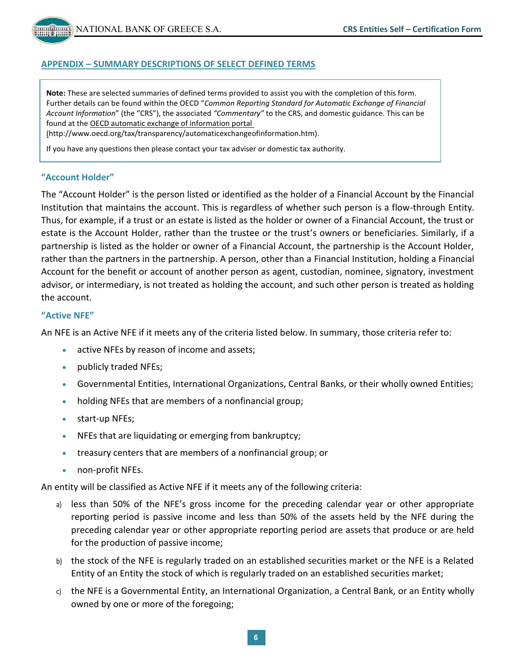#### **APPENDIX – SUMMARY DESCRIPTIONS OF SELECT DEFINED TERMS**

**Note:** These are selected summaries of defined terms provided to assist you with the completion of this form. Further details can be found within the OECD "*Common Reporting Standard for Automatic Exchange of Financial Account Information*" (the "CRS"), the associated *"Commentary"* to the CRS, and domestic guidance. This can be found at the OECD automatic exchange of information portal

(http://www.oecd.org/tax/transparency/automaticexchangeofinformation.htm).

If you have any questions then please contact your tax adviser or domestic tax authority.

#### **"Account Holder"**

The "Account Holder" is the person listed or identified as the holder of a Financial Account by the Financial Institution that maintains the account. This is regardless of whether such person is a flow-through Entity. Thus, for example, if a trust or an estate is listed as the holder or owner of a Financial Account, the trust or estate is the Account Holder, rather than the trustee or the trust's owners or beneficiaries. Similarly, if a partnership is listed as the holder or owner of a Financial Account, the partnership is the Account Holder, rather than the partners in the partnership. A person, other than a Financial Institution, holding a Financial Account for the benefit or account of another person as agent, custodian, nominee, signatory, investment advisor, or intermediary, is not treated as holding the account, and such other person is treated as holding the account.

#### **"Active NFE"**

An NFE is an Active NFE if it meets any of the criteria listed below. In summary, those criteria refer to:

- **active NFEs by reason of income and assets;**
- publicly traded NFEs;
- Governmental Entities, International Organizations, Central Banks, or their wholly owned Entities;
- holding NFEs that are members of a nonfinancial group;
- start-up NFEs;
- NFEs that are liquidating or emerging from bankruptcy;
- treasury centers that are members of a nonfinancial group; or
- non-profit NFEs.

An entity will be classified as Active NFE if it meets any of the following criteria:

- a) less than 50% of the NFE's gross income for the preceding calendar year or other appropriate reporting period is passive income and less than 50% of the assets held by the NFE during the preceding calendar year or other appropriate reporting period are assets that produce or are held for the production of passive income;
- b) the stock of the NFE is regularly traded on an established securities market or the NFE is a Related Entity of an Entity the stock of which is regularly traded on an established securities market;
- c) the NFE is a Governmental Entity, an International Organization, a Central Bank, or an Entity wholly owned by one or more of the foregoing;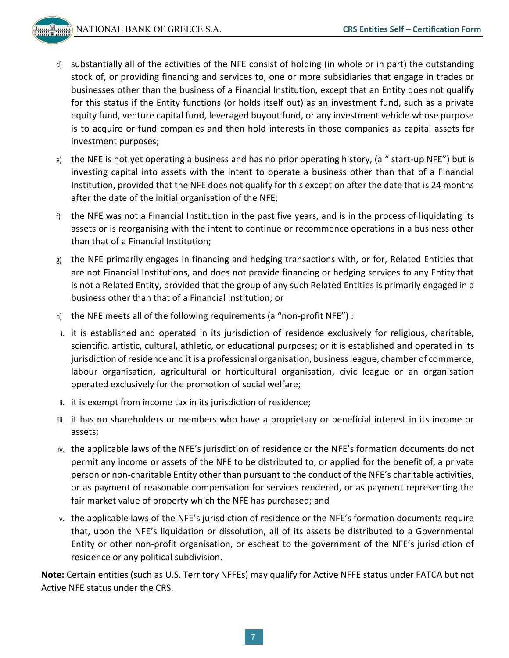- d) substantially all of the activities of the NFE consist of holding (in whole or in part) the outstanding stock of, or providing financing and services to, one or more subsidiaries that engage in trades or businesses other than the business of a Financial Institution, except that an Entity does not qualify for this status if the Entity functions (or holds itself out) as an investment fund, such as a private equity fund, venture capital fund, leveraged buyout fund, or any investment vehicle whose purpose is to acquire or fund companies and then hold interests in those companies as capital assets for investment purposes;
- e) the NFE is not yet operating a business and has no prior operating history, (a " start-up NFE") but is investing capital into assets with the intent to operate a business other than that of a Financial Institution, provided that the NFE does not qualify for this exception after the date that is 24 months after the date of the initial organisation of the NFE;
- f) the NFE was not a Financial Institution in the past five years, and is in the process of liquidating its assets or is reorganising with the intent to continue or recommence operations in a business other than that of a Financial Institution;
- g) the NFE primarily engages in financing and hedging transactions with, or for, Related Entities that are not Financial Institutions, and does not provide financing or hedging services to any Entity that is not a Related Entity, provided that the group of any such Related Entities is primarily engaged in a business other than that of a Financial Institution; or
- h) the NFE meets all of the following requirements (a "non-profit NFE") :
- i. it is established and operated in its jurisdiction of residence exclusively for religious, charitable, scientific, artistic, cultural, athletic, or educational purposes; or it is established and operated in its jurisdiction of residence and it is a professional organisation, business league, chamber of commerce, labour organisation, agricultural or horticultural organisation, civic league or an organisation operated exclusively for the promotion of social welfare;
- ii. it is exempt from income tax in its jurisdiction of residence;
- iii. it has no shareholders or members who have a proprietary or beneficial interest in its income or assets;
- iv. the applicable laws of the NFE's jurisdiction of residence or the NFE's formation documents do not permit any income or assets of the NFE to be distributed to, or applied for the benefit of, a private person or non-charitable Entity other than pursuant to the conduct of the NFE's charitable activities, or as payment of reasonable compensation for services rendered, or as payment representing the fair market value of property which the NFE has purchased; and
- v. the applicable laws of the NFE's jurisdiction of residence or the NFE's formation documents require that, upon the NFE's liquidation or dissolution, all of its assets be distributed to a Governmental Entity or other non-profit organisation, or escheat to the government of the NFE's jurisdiction of residence or any political subdivision.

**Note:** Certain entities (such as U.S. Territory NFFEs) may qualify for Active NFFE status under FATCA but not Active NFE status under the CRS.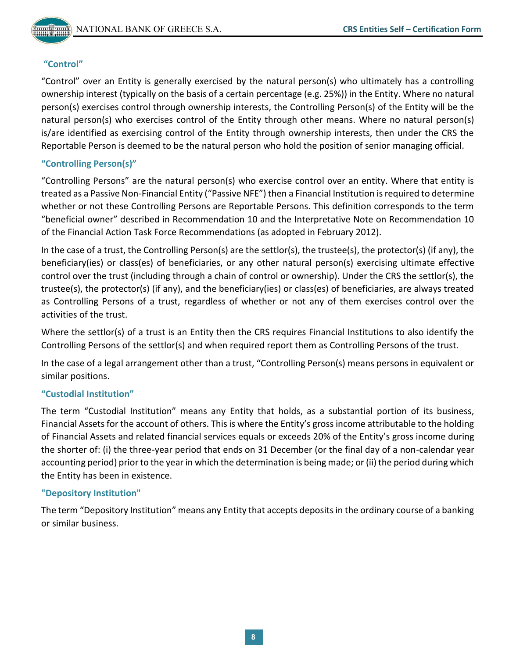## **"Control"**

"Control" over an Entity is generally exercised by the natural person(s) who ultimately has a controlling ownership interest (typically on the basis of a certain percentage (e.g. 25%)) in the Entity. Where no natural person(s) exercises control through ownership interests, the Controlling Person(s) of the Entity will be the natural person(s) who exercises control of the Entity through other means. Where no natural person(s) is/are identified as exercising control of the Entity through ownership interests, then under the CRS the Reportable Person is deemed to be the natural person who hold the position of senior managing official.

## **"Controlling Person(s)"**

"Controlling Persons" are the natural person(s) who exercise control over an entity. Where that entity is treated as a Passive Non-Financial Entity ("Passive NFE") then a Financial Institution is required to determine whether or not these Controlling Persons are Reportable Persons. This definition corresponds to the term "beneficial owner" described in Recommendation 10 and the Interpretative Note on Recommendation 10 of the Financial Action Task Force Recommendations (as adopted in February 2012).

In the case of a trust, the Controlling Person(s) are the settlor(s), the trustee(s), the protector(s) (if any), the beneficiary(ies) or class(es) of beneficiaries, or any other natural person(s) exercising ultimate effective control over the trust (including through a chain of control or ownership). Under the CRS the settlor(s), the trustee(s), the protector(s) (if any), and the beneficiary(ies) or class(es) of beneficiaries, are always treated as Controlling Persons of a trust, regardless of whether or not any of them exercises control over the activities of the trust.

Where the settlor(s) of a trust is an Entity then the CRS requires Financial Institutions to also identify the Controlling Persons of the settlor(s) and when required report them as Controlling Persons of the trust.

In the case of a legal arrangement other than a trust, "Controlling Person(s) means persons in equivalent or similar positions.

## **"Custodial Institution"**

The term "Custodial Institution" means any Entity that holds, as a substantial portion of its business, Financial Assets for the account of others. This is where the Entity's gross income attributable to the holding of Financial Assets and related financial services equals or exceeds 20% of the Entity's gross income during the shorter of: (i) the three-year period that ends on 31 December (or the final day of a non-calendar year accounting period) prior to the year in which the determination is being made; or (ii) the period during which the Entity has been in existence.

## **"Depository Institution"**

The term "Depository Institution" means any Entity that accepts deposits in the ordinary course of a banking or similar business.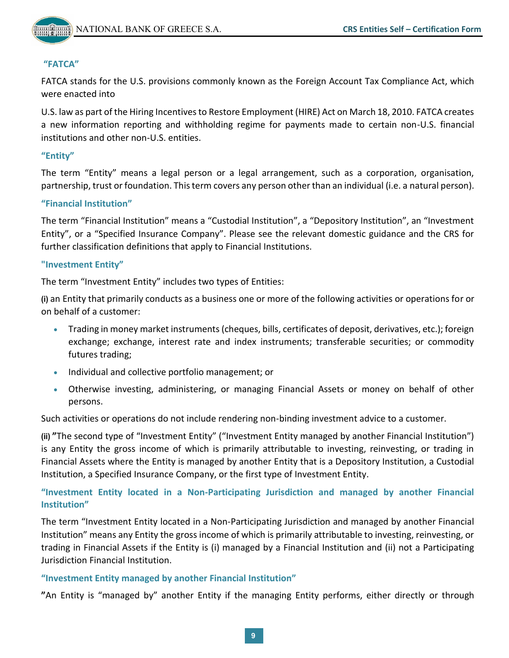

## **"FATCA"**

FATCA stands for the U.S. provisions commonly known as the Foreign Account Tax Compliance Act, which were enacted into

U.S. law as part of the Hiring Incentives to Restore Employment (HIRE) Act on March 18, 2010. FATCA creates a new information reporting and withholding regime for payments made to certain non-U.S. financial institutions and other non-U.S. entities.

### **"Entity"**

The term "Entity" means a legal person or a legal arrangement, such as a corporation, organisation, partnership, trust or foundation. This term covers any person other than an individual (i.e. a natural person).

### **"Financial Institution"**

The term "Financial Institution" means a "Custodial Institution", a "Depository Institution", an "Investment Entity", or a "Specified Insurance Company". Please see the relevant domestic guidance and the CRS for further classification definitions that apply to Financial Institutions.

### **"Investment Entity"**

The term "Investment Entity" includes two types of Entities:

**(i)** an Entity that primarily conducts as a business one or more of the following activities or operations for or on behalf of a customer:

- Trading in money market instruments (cheques, bills, certificates of deposit, derivatives, etc.); foreign exchange; exchange, interest rate and index instruments; transferable securities; or commodity futures trading;
- Individual and collective portfolio management; or
- Otherwise investing, administering, or managing Financial Assets or money on behalf of other persons.

Such activities or operations do not include rendering non-binding investment advice to a customer.

**(ii) "**The second type of "Investment Entity" ("Investment Entity managed by another Financial Institution") is any Entity the gross income of which is primarily attributable to investing, reinvesting, or trading in Financial Assets where the Entity is managed by another Entity that is a Depository Institution, a Custodial Institution, a Specified Insurance Company, or the first type of Investment Entity.

## **"Investment Entity located in a Non-Participating Jurisdiction and managed by another Financial Institution"**

The term "Investment Entity located in a Non-Participating Jurisdiction and managed by another Financial Institution" means any Entity the gross income of which is primarily attributable to investing, reinvesting, or trading in Financial Assets if the Entity is (i) managed by a Financial Institution and (ii) not a Participating Jurisdiction Financial Institution.

### **"Investment Entity managed by another Financial Institution"**

**"**An Entity is "managed by" another Entity if the managing Entity performs, either directly or through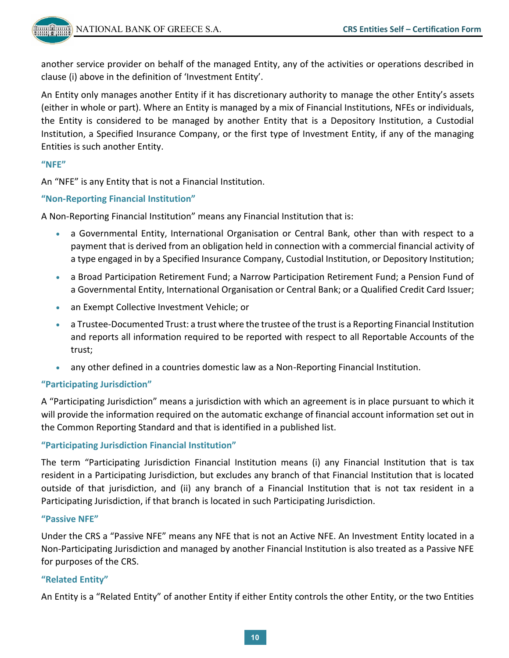another service provider on behalf of the managed Entity, any of the activities or operations described in clause (i) above in the definition of 'Investment Entity'.

An Entity only manages another Entity if it has discretionary authority to manage the other Entity's assets (either in whole or part). Where an Entity is managed by a mix of Financial Institutions, NFEs or individuals, the Entity is considered to be managed by another Entity that is a Depository Institution, a Custodial Institution, a Specified Insurance Company, or the first type of Investment Entity, if any of the managing Entities is such another Entity.

### **"NFE"**

An "NFE" is any Entity that is not a Financial Institution.

### **"Non-Reporting Financial Institution"**

A Non-Reporting Financial Institution" means any Financial Institution that is:

- a Governmental Entity, International Organisation or Central Bank, other than with respect to a payment that is derived from an obligation held in connection with a commercial financial activity of a type engaged in by a Specified Insurance Company, Custodial Institution, or Depository Institution;
- a Broad Participation Retirement Fund; a Narrow Participation Retirement Fund; a Pension Fund of a Governmental Entity, International Organisation or Central Bank; or a Qualified Credit Card Issuer;
- an Exempt Collective Investment Vehicle; or
- a Trustee-Documented Trust: a trust where the trustee of the trust is a Reporting Financial Institution and reports all information required to be reported with respect to all Reportable Accounts of the trust;
- any other defined in a countries domestic law as a Non-Reporting Financial Institution.

## **"Participating Jurisdiction"**

A "Participating Jurisdiction" means a jurisdiction with which an agreement is in place pursuant to which it will provide the information required on the automatic exchange of financial account information set out in the Common Reporting Standard and that is identified in a published list.

## **"Participating Jurisdiction Financial Institution"**

The term "Participating Jurisdiction Financial Institution means (i) any Financial Institution that is tax resident in a Participating Jurisdiction, but excludes any branch of that Financial Institution that is located outside of that jurisdiction, and (ii) any branch of a Financial Institution that is not tax resident in a Participating Jurisdiction, if that branch is located in such Participating Jurisdiction.

### **"Passive NFE"**

Under the CRS a "Passive NFE" means any NFE that is not an Active NFE. An Investment Entity located in a Non-Participating Jurisdiction and managed by another Financial Institution is also treated as a Passive NFE for purposes of the CRS.

### **"Related Entity"**

An Entity is a "Related Entity" of another Entity if either Entity controls the other Entity, or the two Entities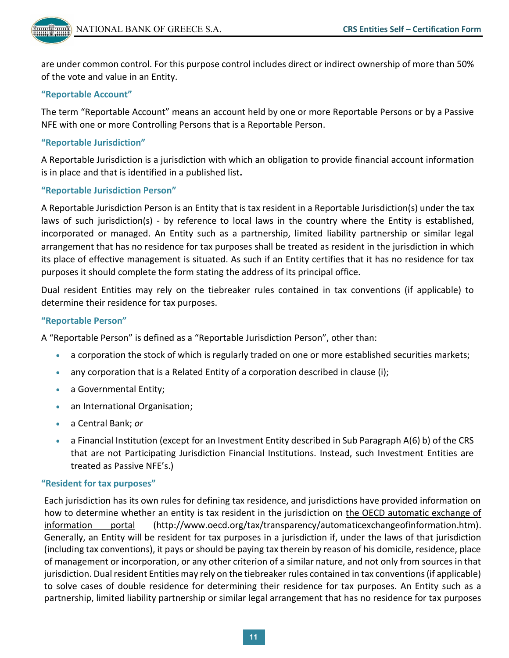are under common control. For this purpose control includes direct or indirect ownership of more than 50% of the vote and value in an Entity.

### **"Reportable Account"**

The term "Reportable Account" means an account held by one or more Reportable Persons or by a Passive NFE with one or more Controlling Persons that is a Reportable Person.

### **"Reportable Jurisdiction"**

A Reportable Jurisdiction is a jurisdiction with which an obligation to provide financial account information is in place and that is identified in a published list**.**

### **"Reportable Jurisdiction Person"**

A Reportable Jurisdiction Person is an Entity that is tax resident in a Reportable Jurisdiction(s) under the tax laws of such jurisdiction(s) - by reference to local laws in the country where the Entity is established, incorporated or managed. An Entity such as a partnership, limited liability partnership or similar legal arrangement that has no residence for tax purposes shall be treated as resident in the jurisdiction in which its place of effective management is situated. As such if an Entity certifies that it has no residence for tax purposes it should complete the form stating the address of its principal office.

Dual resident Entities may rely on the tiebreaker rules contained in tax conventions (if applicable) to determine their residence for tax purposes.

#### **"Reportable Person"**

A "Reportable Person" is defined as a "Reportable Jurisdiction Person", other than:

- a corporation the stock of which is regularly traded on one or more established securities markets;
- any corporation that is a Related Entity of a corporation described in clause (i);
- a Governmental Entity;
- an International Organisation;
- a Central Bank; *or*
- a Financial Institution (except for an Investment Entity described in Sub Paragraph A(6) b) of the CRS that are not Participating Jurisdiction Financial Institutions. Instead, such Investment Entities are treated as Passive NFE's.)

#### **"Resident for tax purposes"**

Each jurisdiction has its own rules for defining tax residence, and jurisdictions have provided information on how to determine whether an entity is tax resident in the jurisdiction on the [OECD automatic exchange](http://www.oecd.org/tax/transparency/automaticexchangeofinformation.htm) of [information portal](http://www.oecd.org/tax/transparency/automaticexchangeofinformation.htm) (http://www.oecd.org/tax/transparency/automaticexchangeofinformation.htm). Generally, an Entity will be resident for tax purposes in a jurisdiction if, under the laws of that jurisdiction (including tax conventions), it pays or should be paying tax therein by reason of his domicile, residence, place of management or incorporation, or any other criterion of a similar nature, and not only from sources in that jurisdiction. Dual resident Entities may rely on the tiebreaker rules contained in tax conventions (if applicable) to solve cases of double residence for determining their residence for tax purposes. An Entity such as a partnership, limited liability partnership or similar legal arrangement that has no residence for tax purposes